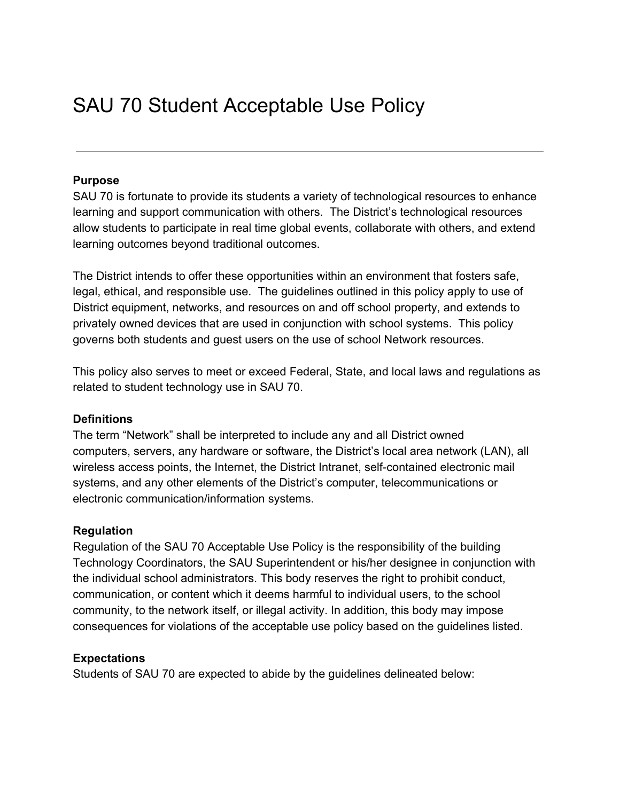# SAU 70 Student Acceptable Use Policy

#### **Purpose**

SAU 70 is fortunate to provide its students a variety of technological resources to enhance learning and support communication with others. The District's technological resources allow students to participate in real time global events, collaborate with others, and extend learning outcomes beyond traditional outcomes.

The District intends to offer these opportunities within an environment that fosters safe, legal, ethical, and responsible use. The guidelines outlined in this policy apply to use of District equipment, networks, and resources on and off school property, and extends to privately owned devices that are used in conjunction with school systems. This policy governs both students and guest users on the use of school Network resources.

This policy also serves to meet or exceed Federal, State, and local laws and regulations as related to student technology use in SAU 70.

#### **Definitions**

The term "Network" shall be interpreted to include any and all District owned computers, servers, any hardware or software, the District's local area network (LAN), all wireless access points, the Internet, the District Intranet, self-contained electronic mail systems, and any other elements of the District's computer, telecommunications or electronic communication/information systems.

#### **Regulation**

Regulation of the SAU 70 Acceptable Use Policy is the responsibility of the building Technology Coordinators, the SAU Superintendent or his/her designee in conjunction with the individual school administrators. This body reserves the right to prohibit conduct, communication, or content which it deems harmful to individual users, to the school community, to the network itself, or illegal activity. In addition, this body may impose consequences for violations of the acceptable use policy based on the guidelines listed.

#### **Expectations**

Students of SAU 70 are expected to abide by the guidelines delineated below: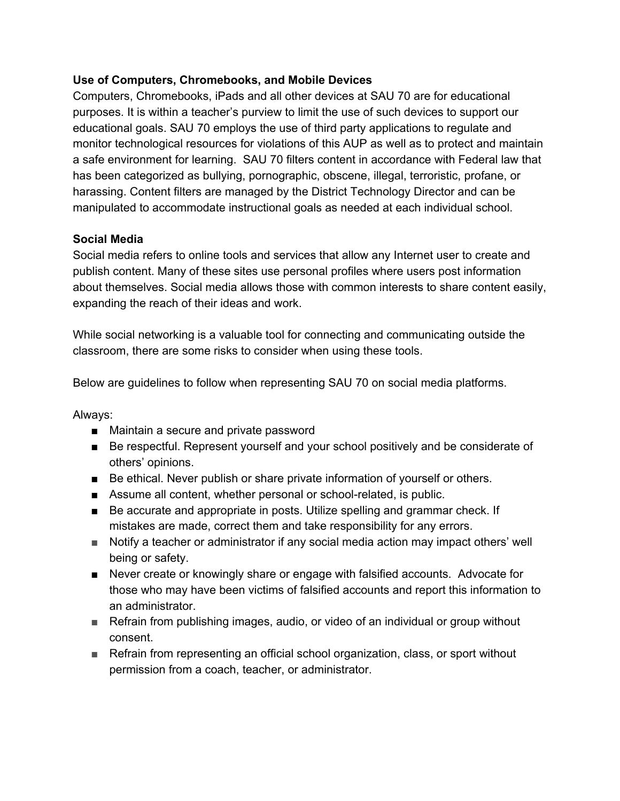## **Use of Computers, Chromebooks, and Mobile Devices**

Computers, Chromebooks, iPads and all other devices at SAU 70 are for educational purposes. It is within a teacher's purview to limit the use of such devices to support our educational goals. SAU 70 employs the use of third party applications to regulate and monitor technological resources for violations of this AUP as well as to protect and maintain a safe environment for learning. SAU 70 filters content in accordance with Federal law that has been categorized as bullying, pornographic, obscene, illegal, terroristic, profane, or harassing. Content filters are managed by the District Technology Director and can be manipulated to accommodate instructional goals as needed at each individual school.

#### **Social Media**

Social media refers to online tools and services that allow any Internet user to create and publish content. Many of these sites use personal profiles where users post information about themselves. Social media allows those with common interests to share content easily, expanding the reach of their ideas and work.

While social networking is a valuable tool for connecting and communicating outside the classroom, there are some risks to consider when using these tools.

Below are guidelines to follow when representing SAU 70 on social media platforms.

#### Always:

- Maintain a secure and private password
- Be respectful. Represent yourself and your school positively and be considerate of others' opinions.
- Be ethical. Never publish or share private information of yourself or others.
- Assume all content, whether personal or school-related, is public.
- Be accurate and appropriate in posts. Utilize spelling and grammar check. If mistakes are made, correct them and take responsibility for any errors.
- Notify a teacher or administrator if any social media action may impact others' well being or safety.
- Never create or knowingly share or engage with falsified accounts. Advocate for those who may have been victims of falsified accounts and report this information to an administrator.
- Refrain from publishing images, audio, or video of an individual or group without consent.
- Refrain from representing an official school organization, class, or sport without permission from a coach, teacher, or administrator.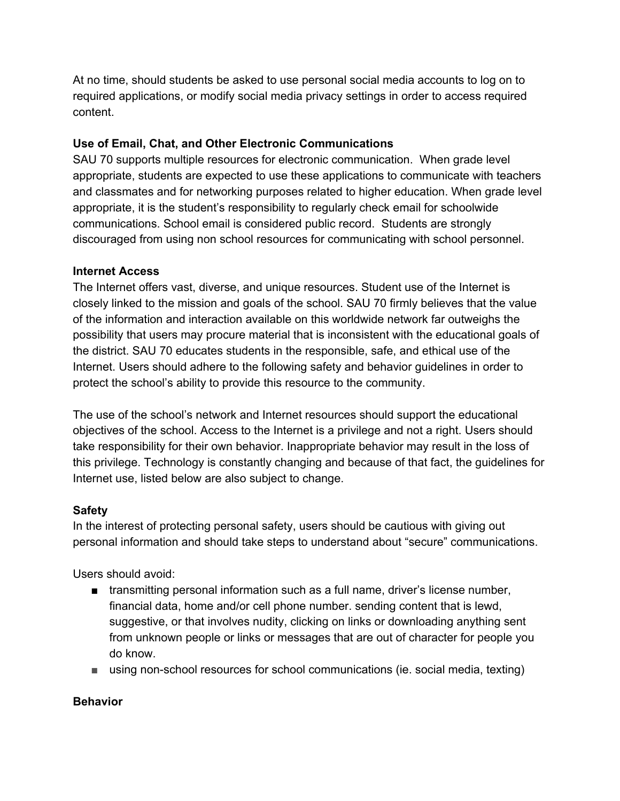At no time, should students be asked to use personal social media accounts to log on to required applications, or modify social media privacy settings in order to access required content.

# **Use of Email, Chat, and Other Electronic Communications**

SAU 70 supports multiple resources for electronic communication. When grade level appropriate, students are expected to use these applications to communicate with teachers and classmates and for networking purposes related to higher education. When grade level appropriate, it is the student's responsibility to regularly check email for schoolwide communications. School email is considered public record. Students are strongly discouraged from using non school resources for communicating with school personnel.

## **Internet Access**

The Internet offers vast, diverse, and unique resources. Student use of the Internet is closely linked to the mission and goals of the school. SAU 70 firmly believes that the value of the information and interaction available on this worldwide network far outweighs the possibility that users may procure material that is inconsistent with the educational goals of the district. SAU 70 educates students in the responsible, safe, and ethical use of the Internet. Users should adhere to the following safety and behavior guidelines in order to protect the school's ability to provide this resource to the community.

The use of the school's network and Internet resources should support the educational objectives of the school. Access to the Internet is a privilege and not a right. Users should take responsibility for their own behavior. Inappropriate behavior may result in the loss of this privilege. Technology is constantly changing and because of that fact, the guidelines for Internet use, listed below are also subject to change.

## **Safety**

In the interest of protecting personal safety, users should be cautious with giving out personal information and should take steps to understand about "secure" communications.

Users should avoid:

- transmitting personal information such as a full name, driver's license number, financial data, home and/or cell phone number. sending content that is lewd, suggestive, or that involves nudity, clicking on links or downloading anything sent from unknown people or links or messages that are out of character for people you do know.
- using non-school resources for school communications (ie. social media, texting)

## **Behavior**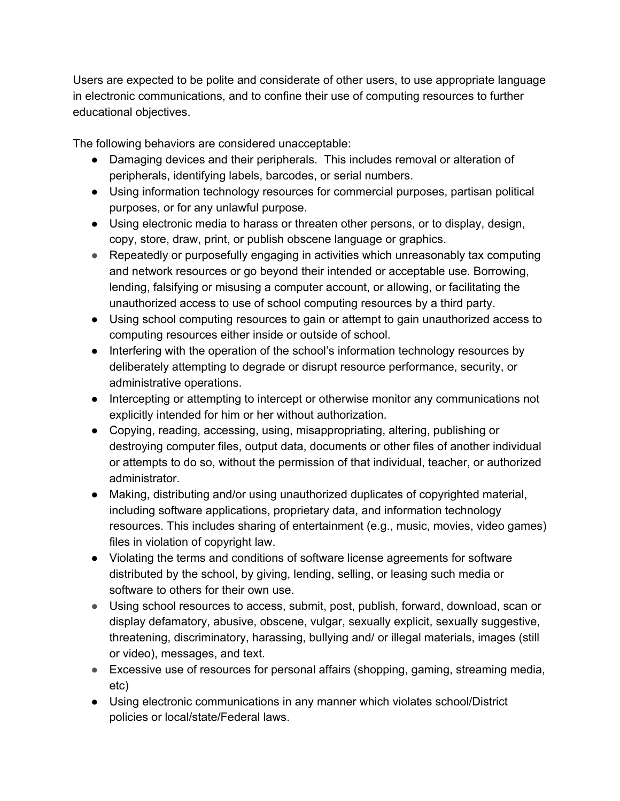Users are expected to be polite and considerate of other users, to use appropriate language in electronic communications, and to confine their use of computing resources to further educational objectives.

The following behaviors are considered unacceptable:

- Damaging devices and their peripherals. This includes removal or alteration of peripherals, identifying labels, barcodes, or serial numbers.
- Using information technology resources for commercial purposes, partisan political purposes, or for any unlawful purpose.
- Using electronic media to harass or threaten other persons, or to display, design, copy, store, draw, print, or publish obscene language or graphics.
- Repeatedly or purposefully engaging in activities which unreasonably tax computing and network resources or go beyond their intended or acceptable use. Borrowing, lending, falsifying or misusing a computer account, or allowing, or facilitating the unauthorized access to use of school computing resources by a third party.
- Using school computing resources to gain or attempt to gain unauthorized access to computing resources either inside or outside of school.
- Interfering with the operation of the school's information technology resources by deliberately attempting to degrade or disrupt resource performance, security, or administrative operations.
- Intercepting or attempting to intercept or otherwise monitor any communications not explicitly intended for him or her without authorization.
- Copying, reading, accessing, using, misappropriating, altering, publishing or destroying computer files, output data, documents or other files of another individual or attempts to do so, without the permission of that individual, teacher, or authorized administrator.
- Making, distributing and/or using unauthorized duplicates of copyrighted material, including software applications, proprietary data, and information technology resources. This includes sharing of entertainment (e.g., music, movies, video games) files in violation of copyright law.
- Violating the terms and conditions of software license agreements for software distributed by the school, by giving, lending, selling, or leasing such media or software to others for their own use.
- Using school resources to access, submit, post, publish, forward, download, scan or display defamatory, abusive, obscene, vulgar, sexually explicit, sexually suggestive, threatening, discriminatory, harassing, bullying and/ or illegal materials, images (still or video), messages, and text.
- Excessive use of resources for personal affairs (shopping, gaming, streaming media, etc)
- Using electronic communications in any manner which violates school/District policies or local/state/Federal laws.